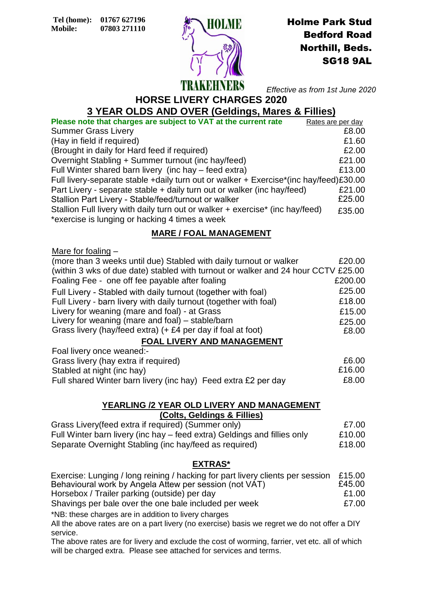**Tel (home): 01767 627196 Mobile: 07803 271110**



Holme Park Stud Bedford Road Northill, Beds. SG18 9AL

*Effective as from 1st June 2020*

**HORSE LIVERY CHARGES 2020**

# **3 YEAR OLDS AND OVER (Geldings, Mares & Fillies)**

| Please note that charges are subject to VAT at the current rate                       | Rates are per day |
|---------------------------------------------------------------------------------------|-------------------|
| <b>Summer Grass Livery</b>                                                            | £8.00             |
| (Hay in field if required)                                                            | £1.60             |
| (Brought in daily for Hard feed if required)                                          | £2.00             |
| Overnight Stabling + Summer turnout (inc hay/feed)                                    | £21.00            |
| Full Winter shared barn livery (inc hay – feed extra)                                 | £13.00            |
| Full livery-separate stable +daily turn out or walker + Exercise*(inc hay/feed)£30.00 |                   |
| Part Livery - separate stable + daily turn out or walker (inc hay/feed)               | £21.00            |
| Stallion Part Livery - Stable/feed/turnout or walker                                  | £25.00            |
| Stallion Full livery with daily turn out or walker + exercise* (inc hay/feed)         | £35.00            |
| *exercise is lunging or hacking 4 times a week                                        |                   |

# **MARE / FOAL MANAGEMENT**

Mare for foaling –

| (more than 3 weeks until due) Stabled with daily turnout or walker                | £20.00  |
|-----------------------------------------------------------------------------------|---------|
| (within 3 wks of due date) stabled with turnout or walker and 24 hour CCTV £25.00 |         |
| Foaling Fee - one off fee payable after foaling                                   | £200.00 |
| Full Livery - Stabled with daily turnout (together with foal)                     | £25.00  |
| Full Livery - barn livery with daily turnout (together with foal)                 | £18.00  |
| Livery for weaning (mare and foal) - at Grass                                     | £15.00  |
| Livery for weaning (mare and foal) – stable/barn                                  | £25.00  |
| Grass livery (hay/feed extra) (+ £4 per day if foal at foot)                      | £8.00   |
| <b>FOAL LIVERY AND MANAGEMENT</b>                                                 |         |
| Foal livery once weaned:-                                                         |         |

| £6.00  |
|--------|
| £16.00 |
| £8.00  |
|        |

## **YEARLING /2 YEAR OLD LIVERY AND MANAGEMENT (Colts, Geldings & Fillies)**

| Grass Livery (feed extra if required) (Summer only)                      | £7.00  |
|--------------------------------------------------------------------------|--------|
| Full Winter barn livery (inc hay – feed extra) Geldings and fillies only | £10.00 |
| Separate Overnight Stabling (inc hay/feed as required)                   | £18.00 |

# **EXTRAS\***

| Exercise: Lunging / long reining / hacking for part livery clients per session £15.00 |        |
|---------------------------------------------------------------------------------------|--------|
| Behavioural work by Angela Attew per session (not VAT)                                | £45.00 |
| Horsebox / Trailer parking (outside) per day                                          | £1.00  |
| Shavings per bale over the one bale included per week                                 | £7.00  |

\*NB: these charges are in addition to livery charges

All the above rates are on a part livery (no exercise) basis we regret we do not offer a DIY service.

The above rates are for livery and exclude the cost of worming, farrier, vet etc. all of which will be charged extra. Please see attached for services and terms.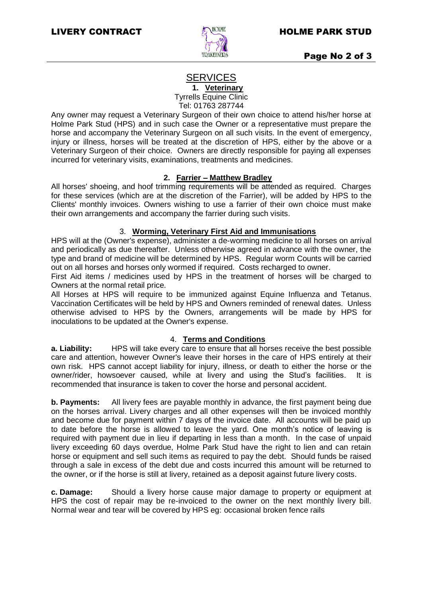

Page No 2 of 3

# **SERVICES**

**1. Veterinary**

Tyrrells Equine Clinic Tel: 01763 287744

Any owner may request a Veterinary Surgeon of their own choice to attend his/her horse at Holme Park Stud (HPS) and in such case the Owner or a representative must prepare the horse and accompany the Veterinary Surgeon on all such visits. In the event of emergency, injury or illness, horses will be treated at the discretion of HPS, either by the above or a Veterinary Surgeon of their choice. Owners are directly responsible for paying all expenses incurred for veterinary visits, examinations, treatments and medicines.

## **2. Farrier – Matthew Bradley**

All horses' shoeing, and hoof trimming requirements will be attended as required. Charges for these services (which are at the discretion of the Farrier), will be added by HPS to the Clients' monthly invoices. Owners wishing to use a farrier of their own choice must make their own arrangements and accompany the farrier during such visits.

## 3. **Worming, Veterinary First Aid and Immunisations**

HPS will at the (Owner's expense), administer a de-worming medicine to all horses on arrival and periodically as due thereafter. Unless otherwise agreed in advance with the owner, the type and brand of medicine will be determined by HPS. Regular worm Counts will be carried out on all horses and horses only wormed if required. Costs recharged to owner.

First Aid items / medicines used by HPS in the treatment of horses will be charged to Owners at the normal retail price.

All Horses at HPS will require to be immunized against Equine Influenza and Tetanus. Vaccination Certificates will be held by HPS and Owners reminded of renewal dates. Unless otherwise advised to HPS by the Owners, arrangements will be made by HPS for inoculations to be updated at the Owner's expense.

### 4. **Terms and Conditions**

**a. Liability:** HPS will take every care to ensure that all horses receive the best possible care and attention, however Owner's leave their horses in the care of HPS entirely at their own risk. HPS cannot accept liability for injury, illness, or death to either the horse or the owner/rider, howsoever caused, while at livery and using the Stud's facilities. It is recommended that insurance is taken to cover the horse and personal accident.

**b. Payments:** All livery fees are payable monthly in advance, the first payment being due on the horses arrival. Livery charges and all other expenses will then be invoiced monthly and become due for payment within 7 days of the invoice date. All accounts will be paid up to date before the horse is allowed to leave the yard. One month's notice of leaving is required with payment due in lieu if departing in less than a month. In the case of unpaid livery exceeding 60 days overdue, Holme Park Stud have the right to lien and can retain horse or equipment and sell such items as required to pay the debt. Should funds be raised through a sale in excess of the debt due and costs incurred this amount will be returned to the owner, or if the horse is still at livery, retained as a deposit against future livery costs.

**c. Damage:** Should a livery horse cause major damage to property or equipment at HPS the cost of repair may be re-invoiced to the owner on the next monthly livery bill. Normal wear and tear will be covered by HPS eg: occasional broken fence rails